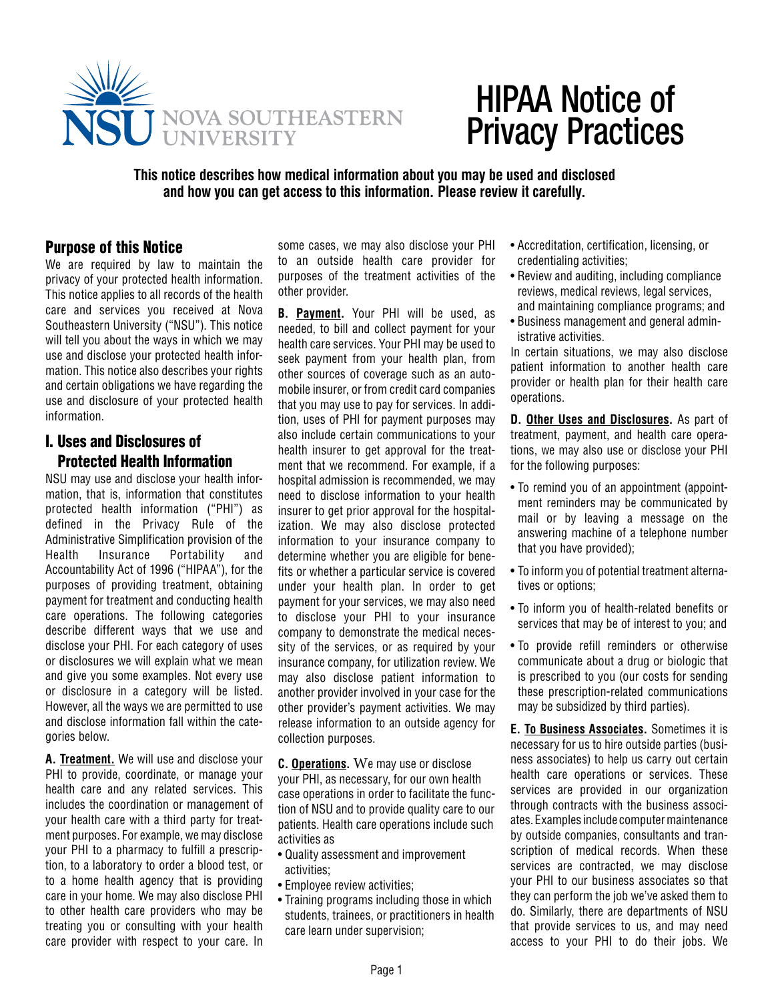

# HIPAA Notice of Privacy Practices

**This notice describes how medical information about you may be used and disclosed and how you can get access to this information. Please review it carefully.**

### Purpose of this Notice

We are required by law to maintain the privacy of your protected health information. This notice applies to all records of the health care and services you received at Nova Southeastern University ("NSU"). This notice will tell you about the ways in which we may use and disclose your protected health information. This notice also describes your rights and certain obligations we have regarding the use and disclosure of your protected health information.

## I. Uses and Disclosures of Protected Health Information

NSU may use and disclose your health information, that is, information that constitutes protected health information ("PHI") as defined in the Privacy Rule of the Administrative Simplification provision of the Health Insurance Portability and Accountability Act of 1996 ("HIPAA"), for the purposes of providing treatment, obtaining payment for treatment and conducting health care operations. The following categories describe different ways that we use and disclose your PHI. For each category of uses or disclosures we will explain what we mean and give you some examples. Not every use or disclosure in a category will be listed. However, all the ways we are permitted to use and disclose information fall within the categories below.

**A. Treatment.** We will use and disclose your PHI to provide, coordinate, or manage your health care and any related services. This includes the coordination or management of your health care with a third party for treatment purposes. For example, we may disclose your PHI to a pharmacy to fulfill a prescription, to a laboratory to order a blood test, or to a home health agency that is providing care in your home. We may also disclose PHI to other health care providers who may be treating you or consulting with your health care provider with respect to your care. In

some cases, we may also disclose your PHI to an outside health care provider for purposes of the treatment activities of the other provider.

**B. Payment.** Your PHI will be used, as needed, to bill and collect payment for your health care services. Your PHI may be used to seek payment from your health plan, from other sources of coverage such as an automobile insurer, or from credit card companies that you may use to pay for services. In addition, uses of PHI for payment purposes may also include certain communications to your health insurer to get approval for the treatment that we recommend. For example, if a hospital admission is recommended, we may need to disclose information to your health insurer to get prior approval for the hospitalization. We may also disclose protected information to your insurance company to determine whether you are eligible for benefits or whether a particular service is covered under your health plan. In order to get payment for your services, we may also need to disclose your PHI to your insurance company to demonstrate the medical necessity of the services, or as required by your insurance company, for utilization review. We may also disclose patient information to another provider involved in your case for the other provider's payment activities. We may release information to an outside agency for collection purposes.

**C. Operations.** We may use or disclose your PHI, as necessary, for our own health case operations in order to facilitate the function of NSU and to provide quality care to our patients. Health care operations include such activities as

- Quality assessment and improvement activities;
- Employee review activities;
- Training programs including those in which students, trainees, or practitioners in health care learn under supervision;
- Accreditation, certification, licensing, or credentialing activities;
- Review and auditing, including compliance reviews, medical reviews, legal services, and maintaining compliance programs; and
- Business management and general administrative activities.

In certain situations, we may also disclose patient information to another health care provider or health plan for their health care operations.

**D. Other Uses and Disclosures.** As part of treatment, payment, and health care operations, we may also use or disclose your PHI for the following purposes:

- To remind you of an appointment (appointment reminders may be communicated by mail or by leaving a message on the answering machine of a telephone number that you have provided);
- To inform you of potential treatment alternatives or options;
- To inform you of health-related benefits or services that may be of interest to you; and
- To provide refill reminders or otherwise communicate about a drug or biologic that is prescribed to you (our costs for sending these prescription-related communications may be subsidized by third parties).

**E. To Business Associates.** Sometimes it is necessary for us to hire outside parties (business associates) to help us carry out certain health care operations or services. These services are provided in our organization through contracts with the business associates. Examples include computer maintenance by outside companies, consultants and transcription of medical records. When these services are contracted, we may disclose your PHI to our business associates so that they can perform the job we've asked them to do. Similarly, there are departments of NSU that provide services to us, and may need access to your PHI to do their jobs. We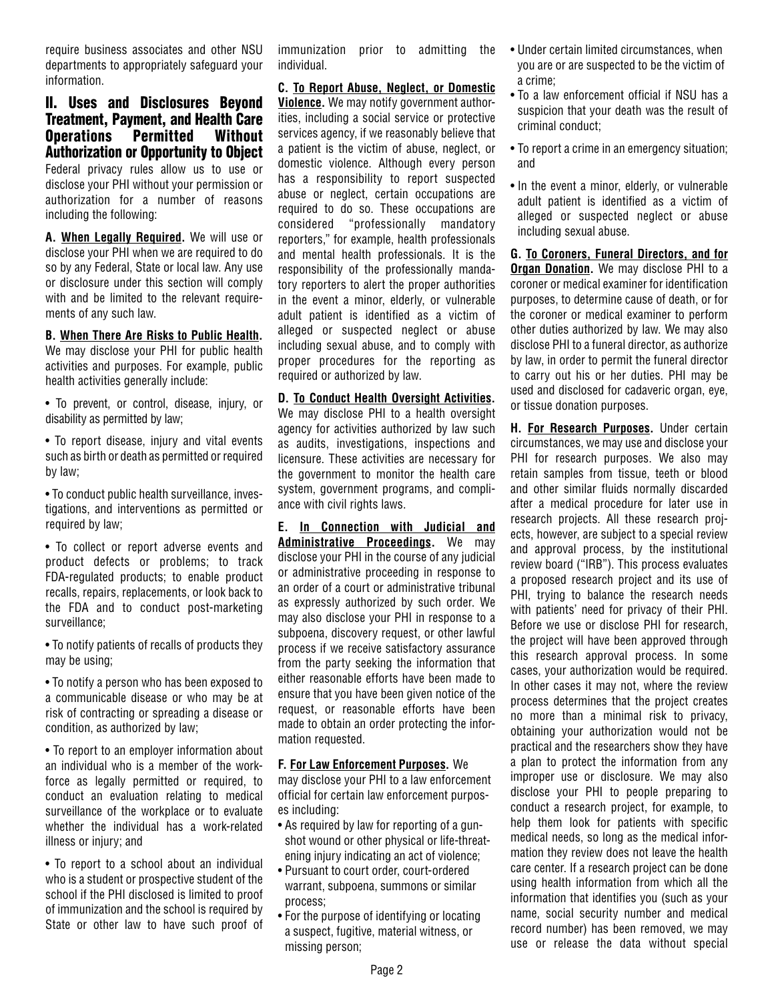require business associates and other NSU departments to appropriately safeguard your information.

II. Uses and Disclosures Beyond Treatment, Payment, and Health Care Operations Permitted Without Authorization or Opportunity to Object Federal privacy rules allow us to use or disclose your PHI without your permission or authorization for a number of reasons including the following:

**A. When Legally Required.** We will use or disclose your PHI when we are required to do so by any Federal, State or local law. Any use or disclosure under this section will comply with and be limited to the relevant requirements of any such law.

**B. When There Are Risks to Public Health.** We may disclose your PHI for public health activities and purposes. For example, public health activities generally include:

• To prevent, or control, disease, injury, or disability as permitted by law;

• To report disease, injury and vital events such as birth or death as permitted or required by law;

• To conduct public health surveillance, investigations, and interventions as permitted or required by law:

• To collect or report adverse events and product defects or problems; to track FDA-regulated products; to enable product recalls, repairs, replacements, or look back to the FDA and to conduct post-marketing surveillance;

• To notify patients of recalls of products they may be using;

• To notify a person who has been exposed to a communicable disease or who may be at risk of contracting or spreading a disease or condition, as authorized by law;

• To report to an employer information about an individual who is a member of the workforce as legally permitted or required, to conduct an evaluation relating to medical surveillance of the workplace or to evaluate whether the individual has a work-related illness or injury; and

• To report to a school about an individual who is a student or prospective student of the school if the PHI disclosed is limited to proof of immunization and the school is required by State or other law to have such proof of

immunization prior to admitting the individual.

**C. To Report Abuse, Neglect, or Domestic Violence.** We may notify government authorities, including a social service or protective services agency, if we reasonably believe that a patient is the victim of abuse, neglect, or domestic violence. Although every person has a responsibility to report suspected abuse or neglect, certain occupations are required to do so. These occupations are considered "professionally mandatory reporters," for example, health professionals and mental health professionals. It is the responsibility of the professionally mandatory reporters to alert the proper authorities in the event a minor, elderly, or vulnerable adult patient is identified as a victim of alleged or suspected neglect or abuse including sexual abuse, and to comply with proper procedures for the reporting as required or authorized by law.

**D. To Conduct Health Oversight Activities.** We may disclose PHI to a health oversight agency for activities authorized by law such as audits, investigations, inspections and licensure. These activities are necessary for

the government to monitor the health care system, government programs, and compliance with civil rights laws. **E. In Connection with Judicial and Administrative Proceedings.** We may disclose your PHI in the course of any judicial

or administrative proceeding in response to an order of a court or administrative tribunal as expressly authorized by such order. We may also disclose your PHI in response to a subpoena, discovery request, or other lawful process if we receive satisfactory assurance from the party seeking the information that either reasonable efforts have been made to ensure that you have been given notice of the request, or reasonable efforts have been made to obtain an order protecting the information requested.

#### **F. For Law Enforcement Purposes.** We

may disclose your PHI to a law enforcement official for certain law enforcement purposes including:

- As required by law for reporting of a gunshot wound or other physical or life-threatening injury indicating an act of violence;
- Pursuant to court order, court-ordered warrant, subpoena, summons or similar process;
- For the purpose of identifying or locating a suspect, fugitive, material witness, or missing person;
- Under certain limited circumstances, when you are or are suspected to be the victim of a crime;
- To a law enforcement official if NSU has a suspicion that your death was the result of criminal conduct;
- To report a crime in an emergency situation; and
- In the event a minor, elderly, or vulnerable adult patient is identified as a victim of alleged or suspected neglect or abuse including sexual abuse.

**G. To Coroners, Funeral Directors, and for Organ Donation.** We may disclose PHI to a coroner or medical examiner for identification purposes, to determine cause of death, or for the coroner or medical examiner to perform other duties authorized by law. We may also disclose PHI to a funeral director, as authorize by law, in order to permit the funeral director to carry out his or her duties. PHI may be used and disclosed for cadaveric organ, eye, or tissue donation purposes.

**H. For Research Purposes.** Under certain circumstances, we may use and disclose your PHI for research purposes. We also may retain samples from tissue, teeth or blood and other similar fluids normally discarded after a medical procedure for later use in research projects. All these research projects, however, are subject to a special review and approval process, by the institutional review board ("IRB"). This process evaluates a proposed research project and its use of PHI, trying to balance the research needs with patients' need for privacy of their PHI. Before we use or disclose PHI for research, the project will have been approved through this research approval process. In some cases, your authorization would be required. In other cases it may not, where the review process determines that the project creates no more than a minimal risk to privacy, obtaining your authorization would not be practical and the researchers show they have a plan to protect the information from any improper use or disclosure. We may also disclose your PHI to people preparing to conduct a research project, for example, to help them look for patients with specific medical needs, so long as the medical information they review does not leave the health care center. If a research project can be done using health information from which all the information that identifies you (such as your name, social security number and medical record number) has been removed, we may use or release the data without special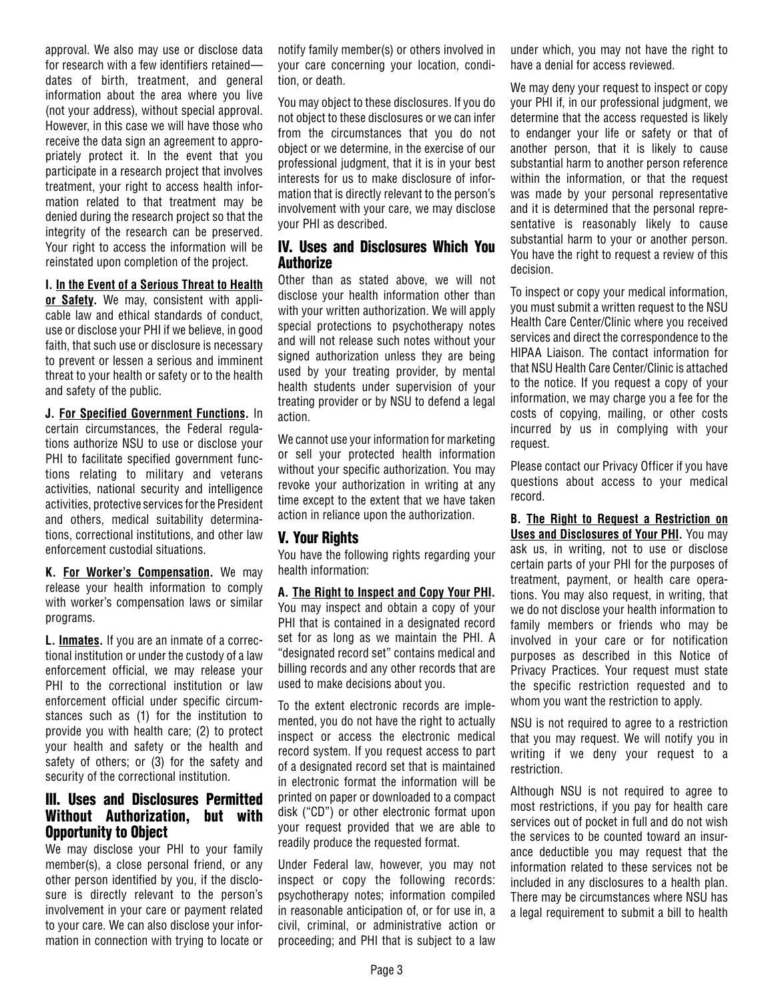approval. We also may use or disclose data for research with a few identifiers retained dates of birth, treatment, and general information about the area where you live (not your address), without special approval. However, in this case we will have those who receive the data sign an agreement to appropriately protect it. In the event that you participate in a research project that involves treatment, your right to access health information related to that treatment may be denied during the research project so that the integrity of the research can be preserved. Your right to access the information will be reinstated upon completion of the project.

#### **I. In the Event of a Serious Threat to Health**

**or Safety.** We may, consistent with applicable law and ethical standards of conduct, use or disclose your PHI if we believe, in good faith, that such use or disclosure is necessary to prevent or lessen a serious and imminent threat to your health or safety or to the health and safety of the public.

**J. For Specified Government Functions.** In certain circumstances, the Federal regulations authorize NSU to use or disclose your PHI to facilitate specified government functions relating to military and veterans activities, national security and intelligence activities, protective services for the President and others, medical suitability determinations, correctional institutions, and other law enforcement custodial situations.

**K. For Worker's Compensation.** We may release your health information to comply with worker's compensation laws or similar programs.

**L. Inmates.** If you are an inmate of a correctional institution or under the custody of a law enforcement official, we may release your PHI to the correctional institution or law enforcement official under specific circumstances such as (1) for the institution to provide you with health care; (2) to protect your health and safety or the health and safety of others; or (3) for the safety and security of the correctional institution.

#### III. Uses and Disclosures Permitted Without Authorization, but with Opportunity to Object

We may disclose your PHI to your family member(s), a close personal friend, or any other person identified by you, if the disclosure is directly relevant to the person's involvement in your care or payment related to your care. We can also disclose your information in connection with trying to locate or notify family member(s) or others involved in your care concerning your location, condition, or death.

You may object to these disclosures. If you do not object to these disclosures or we can infer from the circumstances that you do not object or we determine, in the exercise of our professional judgment, that it is in your best interests for us to make disclosure of information that is directly relevant to the person's involvement with your care, we may disclose your PHI as described.

#### IV. Uses and Disclosures Which You **Authorize**

Other than as stated above, we will not disclose your health information other than with your written authorization. We will apply special protections to psychotherapy notes and will not release such notes without your signed authorization unless they are being used by your treating provider, by mental health students under supervision of your treating provider or by NSU to defend a legal action.

We cannot use your information for marketing or sell your protected health information without your specific authorization. You may revoke your authorization in writing at any time except to the extent that we have taken action in reliance upon the authorization.

### V. Your Rights

You have the following rights regarding your health information:

**A. The Right to Inspect and Copy Your PHI.** You may inspect and obtain a copy of your PHI that is contained in a designated record set for as long as we maintain the PHI. A "designated record set" contains medical and billing records and any other records that are used to make decisions about you.

To the extent electronic records are implemented, you do not have the right to actually inspect or access the electronic medical record system. If you request access to part of a designated record set that is maintained in electronic format the information will be printed on paper or downloaded to a compact disk ("CD") or other electronic format upon your request provided that we are able to readily produce the requested format.

Under Federal law, however, you may not inspect or copy the following records: psychotherapy notes; information compiled in reasonable anticipation of, or for use in, a civil, criminal, or administrative action or proceeding; and PHI that is subject to a law under which, you may not have the right to have a denial for access reviewed.

We may deny your request to inspect or copy your PHI if, in our professional judgment, we determine that the access requested is likely to endanger your life or safety or that of another person, that it is likely to cause substantial harm to another person reference within the information, or that the request was made by your personal representative and it is determined that the personal representative is reasonably likely to cause substantial harm to your or another person. You have the right to request a review of this decision.

To inspect or copy your medical information, you must submit a written request to the NSU Health Care Center/Clinic where you received services and direct the correspondence to the HIPAA Liaison. The contact information for that NSU Health Care Center/Clinic is attached to the notice. If you request a copy of your information, we may charge you a fee for the costs of copying, mailing, or other costs incurred by us in complying with your request.

Please contact our Privacy Officer if you have questions about access to your medical record.

**B. The Right to Request a Restriction on Uses and Disclosures of Your PHI.** You may ask us, in writing, not to use or disclose certain parts of your PHI for the purposes of treatment, payment, or health care operations. You may also request, in writing, that we do not disclose your health information to family members or friends who may be involved in your care or for notification purposes as described in this Notice of Privacy Practices. Your request must state the specific restriction requested and to whom you want the restriction to apply.

NSU is not required to agree to a restriction that you may request. We will notify you in writing if we deny your request to a restriction.

Although NSU is not required to agree to most restrictions, if you pay for health care services out of pocket in full and do not wish the services to be counted toward an insurance deductible you may request that the information related to these services not be included in any disclosures to a health plan. There may be circumstances where NSU has a legal requirement to submit a bill to health